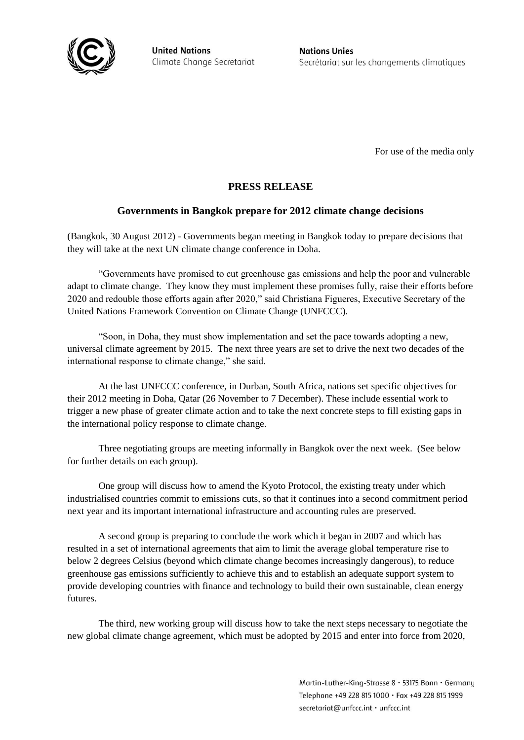

**United Nations** Climate Change Secretariat **Nations Unies** Secrétariat sur les changements climatiques

For use of the media only

## **PRESS RELEASE**

## **Governments in Bangkok prepare for 2012 climate change decisions**

(Bangkok, 30 August 2012) - Governments began meeting in Bangkok today to prepare decisions that they will take at the next UN climate change conference in Doha.

"Governments have promised to cut greenhouse gas emissions and help the poor and vulnerable adapt to climate change. They know they must implement these promises fully, raise their efforts before 2020 and redouble those efforts again after 2020," said Christiana Figueres, Executive Secretary of the United Nations Framework Convention on Climate Change (UNFCCC).

"Soon, in Doha, they must show implementation and set the pace towards adopting a new, universal climate agreement by 2015. The next three years are set to drive the next two decades of the international response to climate change," she said.

At the last UNFCCC conference, in Durban, South Africa, nations set specific objectives for their 2012 meeting in Doha, Qatar (26 November to 7 December). These include essential work to trigger a new phase of greater climate action and to take the next concrete steps to fill existing gaps in the international policy response to climate change.

Three negotiating groups are meeting informally in Bangkok over the next week. (See below for further details on each group).

One group will discuss how to amend the Kyoto Protocol, the existing treaty under which industrialised countries commit to emissions cuts, so that it continues into a second commitment period next year and its important international infrastructure and accounting rules are preserved.

A second group is preparing to conclude the work which it began in 2007 and which has resulted in a set of international agreements that aim to limit the average global temperature rise to below 2 degrees Celsius (beyond which climate change becomes increasingly dangerous), to reduce greenhouse gas emissions sufficiently to achieve this and to establish an adequate support system to provide developing countries with finance and technology to build their own sustainable, clean energy futures.

The third, new working group will discuss how to take the next steps necessary to negotiate the new global climate change agreement, which must be adopted by 2015 and enter into force from 2020,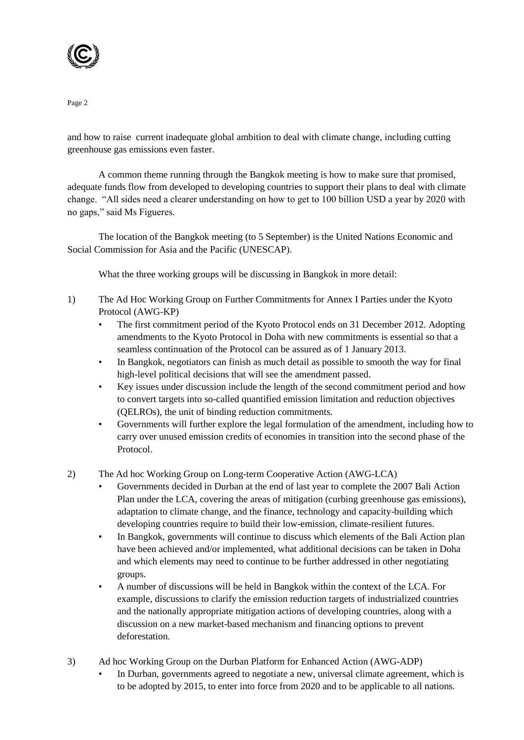

and how to raise current inadequate global ambition to deal with climate change, including cutting greenhouse gas emissions even faster.

A common theme running through the Bangkok meeting is how to make sure that promised, adequate funds flow from developed to developing countries to support their plans to deal with climate change. "All sides need a clearer understanding on how to get to 100 billion USD a year by 2020 with no gaps," said Ms Figueres.

The location of the Bangkok meeting (to 5 September) is the United Nations Economic and Social Commission for Asia and the Pacific (UNESCAP).

What the three working groups will be discussing in Bangkok in more detail:

- 1) The Ad Hoc Working Group on Further Commitments for Annex I Parties under the Kyoto Protocol (AWG-KP)
	- The first commitment period of the Kyoto Protocol ends on 31 December 2012. Adopting amendments to the Kyoto Protocol in Doha with new commitments is essential so that a seamless continuation of the Protocol can be assured as of 1 January 2013.
	- In Bangkok, negotiators can finish as much detail as possible to smooth the way for final high-level political decisions that will see the amendment passed.
	- Key issues under discussion include the length of the second commitment period and how to convert targets into so-called quantified emission limitation and reduction objectives (QELROs), the unit of binding reduction commitments.
	- Governments will further explore the legal formulation of the amendment, including how to carry over unused emission credits of economies in transition into the second phase of the Protocol.
- 2) The Ad hoc Working Group on Long-term Cooperative Action (AWG-LCA)
	- Governments decided in Durban at the end of last year to complete the 2007 Bali Action Plan under the LCA, covering the areas of mitigation (curbing greenhouse gas emissions), adaptation to climate change, and the finance, technology and capacity-building which developing countries require to build their low-emission, climate-resilient futures.
	- In Bangkok, governments will continue to discuss which elements of the Bali Action plan have been achieved and/or implemented, what additional decisions can be taken in Doha and which elements may need to continue to be further addressed in other negotiating groups.
	- A number of discussions will be held in Bangkok within the context of the LCA. For example, discussions to clarify the emission reduction targets of industrialized countries and the nationally appropriate mitigation actions of developing countries, along with a discussion on a new market-based mechanism and financing options to prevent deforestation.
- 3) Ad hoc Working Group on the Durban Platform for Enhanced Action (AWG-ADP)
	- In Durban, governments agreed to negotiate a new, universal climate agreement, which is to be adopted by 2015, to enter into force from 2020 and to be applicable to all nations.